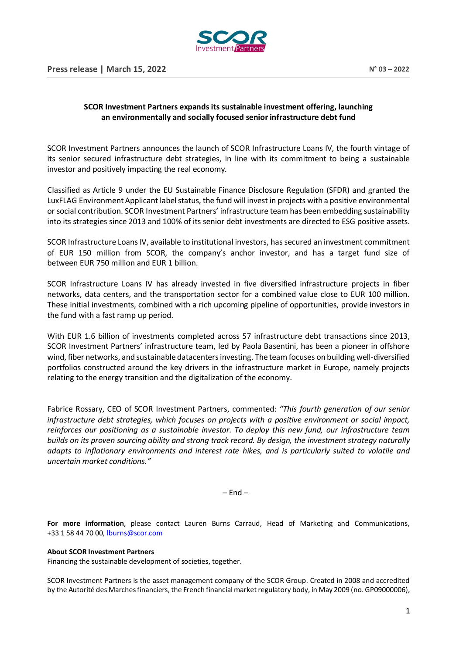

## **SCOR Investment Partners expands its sustainable investment offering, launching an environmentally and socially focused senior infrastructure debt fund**

SCOR Investment Partners announces the launch of SCOR Infrastructure Loans IV, the fourth vintage of its senior secured infrastructure debt strategies, in line with its commitment to being a sustainable investor and positively impacting the real economy.

Classified as Article 9 under the EU Sustainable Finance Disclosure Regulation (SFDR) and granted the LuxFLAG Environment Applicant label status, the fund will invest in projects with a positive environmental or social contribution. SCOR Investment Partners' infrastructure team has been embedding sustainability into its strategies since 2013 and 100% of its senior debt investments are directed to ESG positive assets.

SCOR Infrastructure Loans IV, available to institutional investors, has secured an investment commitment of EUR 150 million from SCOR, the company's anchor investor, and has a target fund size of between EUR 750 million and EUR 1 billion.

SCOR Infrastructure Loans IV has already invested in five diversified infrastructure projects in fiber networks, data centers, and the transportation sector for a combined value close to EUR 100 million. These initial investments, combined with a rich upcoming pipeline of opportunities, provide investors in the fund with a fast ramp up period.

With EUR 1.6 billion of investments completed across 57 infrastructure debt transactions since 2013, SCOR Investment Partners' infrastructure team, led by Paola Basentini, has been a pioneer in offshore wind, fiber networks, and sustainable datacenters investing. The team focuses on building well-diversified portfolios constructed around the key drivers in the infrastructure market in Europe, namely projects relating to the energy transition and the digitalization of the economy.

Fabrice Rossary, CEO of SCOR Investment Partners, commented: *"This fourth generation of our senior infrastructure debt strategies, which focuses on projects with a positive environment or social impact, reinforces our positioning as a sustainable investor. To deploy this new fund, our infrastructure team builds on its proven sourcing ability and strong track record. By design, the investment strategy naturally adapts to inflationary environments and interest rate hikes, and is particularly suited to volatile and uncertain market conditions."*

 $-$  End  $-$ 

**For more information**, please contact Lauren Burns Carraud, Head of Marketing and Communications, +33 1 58 44 70 00, [lburns@scor.com](mailto:lburns@scor.com)

## **About SCOR Investment Partners**

Financing the sustainable development of societies, together.

SCOR Investment Partners is the asset management company of the SCOR Group. Created in 2008 and accredited by the Autorité des Marches financiers, the French financial market regulatory body, in May 2009 (no. GP09000006),